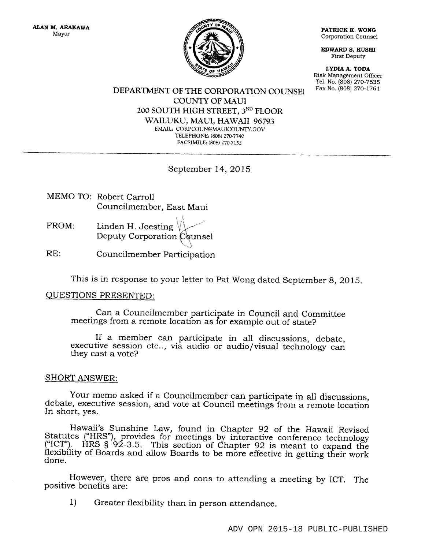

Corporation Counsel

EDWARD S. KUSHI First Deputy

LYDIA A. TODA Risk Management Oflicer Tel. No. (808) 270-7535<br>Fax No. (808) 270-1761

## DEPARTMENT OF THE CORPORATION COUNSEI COUNTY OF MAUI 200 SOUTH HIGH STREET, 3RD FLOOR WAILUKU, MAUI, }IAWAII 96793 EMAIL: CORPCOUN@MAUICOUNTY.GOV TELEPHONE: (808) 270-7740 FACSIMILE: (808) 270-7152

## September 14,2015

- MEMO TO: Robert Carroll Councilmember, East Maui
- FROM: Linden H. Joesting  $\Lambda$ . Deputy Corporation Counsel
- RE: Councilmember Participation

This is in response to your letter to Pat Wong dated September 8, 2015.

## QUESTIONS PRESENTED:

Can a Councilmember participate in Council and Committee meetings from a remote location as for example out of state?

If a member can participate in all discussions, debate, executive session etc.., via audio or audio/visual technology can they cast a vote?

## SHORT ANSWER:

Your memo asked if a Councilmember can participate in all discussions, debate, executive session, and vote at Council meetings from a remote location In short, yes.

Hawaii's Sunshine Law, found in Chapter 92 of the Hawaii Revised Statutes ("HRS"), provides for meetings by interactive conference technology ("ICT"). HRS  $\S'92-3.5$ . This section of Chapter 92 is meant to expand the flexibility of Boards and allow Boards to be more effective in getting their work done.

. However, there are pros and cons to attending a meeting by ICT. The positive benefits are:

1) Greater flexibility than in person attendance.